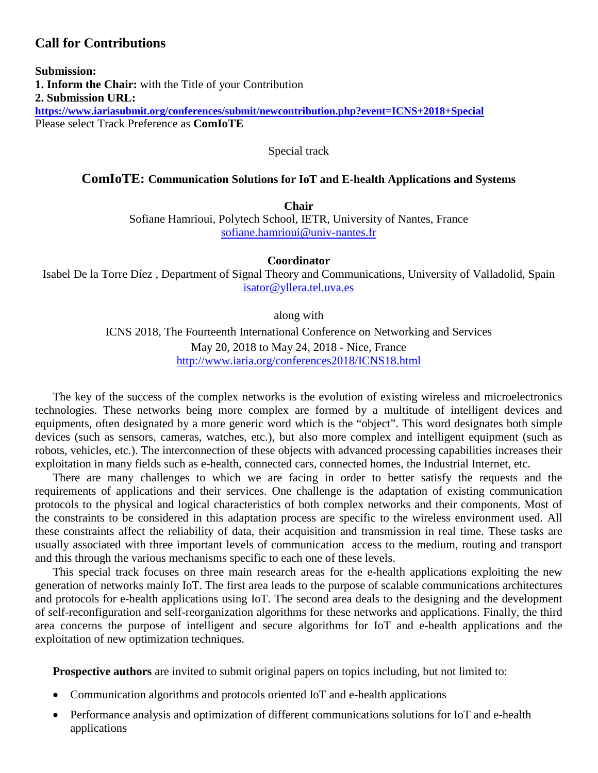## **Call for Contributions**

**Submission: 1. Inform the Chair:** with the Title of your Contribution **2. Submission URL: <https://www.iariasubmit.org/conferences/submit/newcontribution.php?event=ICNS+2018+Special>** Please select Track Preference as **ComIoTE**

Special track

#### **ComIoTE: Communication Solutions for IoT and E-health Applications and Systems**

**Chair** Sofiane Hamrioui, Polytech School, IETR, University of Nantes, France [sofiane.hamrioui@univ-nantes.fr](mailto:sofiane.hamrioui@univ-nantes.fr)

**Coordinator**

Isabel De la Torre Díez , Department of Signal Theory and Communications, University of Valladolid, Spain [isator@yllera.tel.uva.es](mailto:isator@yllera.tel.uva.es)

along with

ICNS 2018, The Fourteenth International Conference on Networking and Services May 20, 2018 to May 24, 2018 - Nice, France <http://www.iaria.org/conferences2018/ICNS18.html>

The key of the success of the complex networks is the evolution of existing wireless and microelectronics technologies. These networks being more complex are formed by a multitude of intelligent devices and equipments, often designated by a more generic word which is the "object". This word designates both simple devices (such as sensors, cameras, watches, etc.), but also more complex and intelligent equipment (such as robots, vehicles, etc.). The interconnection of these objects with advanced processing capabilities increases their exploitation in many fields such as e-health, connected cars, connected homes, the Industrial Internet, etc.

There are many challenges to which we are facing in order to better satisfy the requests and the requirements of applications and their services. One challenge is the adaptation of existing communication protocols to the physical and logical characteristics of both complex networks and their components. Most of the constraints to be considered in this adaptation process are specific to the wireless environment used. All these constraints affect the reliability of data, their acquisition and transmission in real time. These tasks are usually associated with three important levels of communication access to the medium, routing and transport and this through the various mechanisms specific to each one of these levels.

This special track focuses on three main research areas for the e-health applications exploiting the new generation of networks mainly IoT. The first area leads to the purpose of scalable communications architectures and protocols for e-health applications using IoT. The second area deals to the designing and the development of self-reconfiguration and self-reorganization algorithms for these networks and applications. Finally, the third area concerns the purpose of intelligent and secure algorithms for IoT and e-health applications and the exploitation of new optimization techniques.

**Prospective authors** are invited to submit original papers on topics including, but not limited to:

- Communication algorithms and protocols oriented IoT and e-health applications
- Performance analysis and optimization of different communications solutions for IoT and e-health applications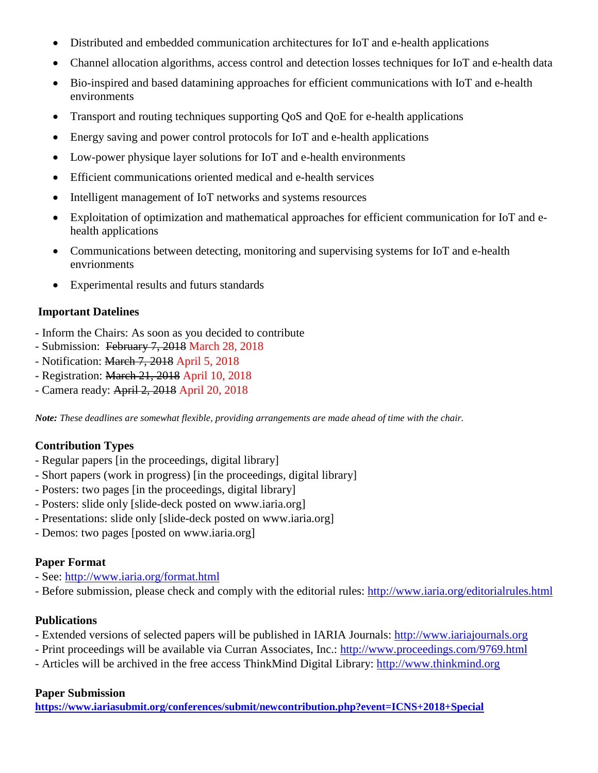- Distributed and embedded communication architectures for IoT and e-health applications
- Channel allocation algorithms, access control and detection losses techniques for IoT and e-health data
- Bio-inspired and based datamining approaches for efficient communications with IoT and e-health environments
- Transport and routing techniques supporting QoS and QoE for e-health applications
- Energy saving and power control protocols for IoT and e-health applications
- Low-power physique layer solutions for IoT and e-health environments
- Efficient communications oriented medical and e-health services
- Intelligent management of IoT networks and systems resources
- Exploitation of optimization and mathematical approaches for efficient communication for IoT and ehealth applications
- Communications between detecting, monitoring and supervising systems for IoT and e-health envrionments
- Experimental results and futurs standards

#### **Important Datelines**

- Inform the Chairs: As soon as you decided to contribute
- Submission: February 7, 2018 March 28, 2018
- Notification: March 7, 2018 April 5, 2018
- Registration: March 21, 2018 April 10, 2018
- Camera ready: April 2, 2018 April 20, 2018

*Note: These deadlines are somewhat flexible, providing arrangements are made ahead of time with the chair.*

## **Contribution Types**

- Regular papers [in the proceedings, digital library]
- Short papers (work in progress) [in the proceedings, digital library]
- Posters: two pages [in the proceedings, digital library]
- Posters: slide only [slide-deck posted on www.iaria.org]
- Presentations: slide only [slide-deck posted on www.iaria.org]
- Demos: two pages [posted on www.iaria.org]

#### **Paper Format**

- See: <http://www.iaria.org/format.html>
- Before submission, please check and comply with the editorial rules: <http://www.iaria.org/editorialrules.html>

#### **Publications**

- Extended versions of selected papers will be published in IARIA Journals: [http://www.iariajournals.org](http://www.iariajournals.org/)
- Print proceedings will be available via Curran Associates, Inc.: <http://www.proceedings.com/9769.html>
- Articles will be archived in the free access ThinkMind Digital Library: [http://www.thinkmind.org](http://www.thinkmind.org/)

#### **Paper Submission**

**<https://www.iariasubmit.org/conferences/submit/newcontribution.php?event=ICNS+2018+Special>**